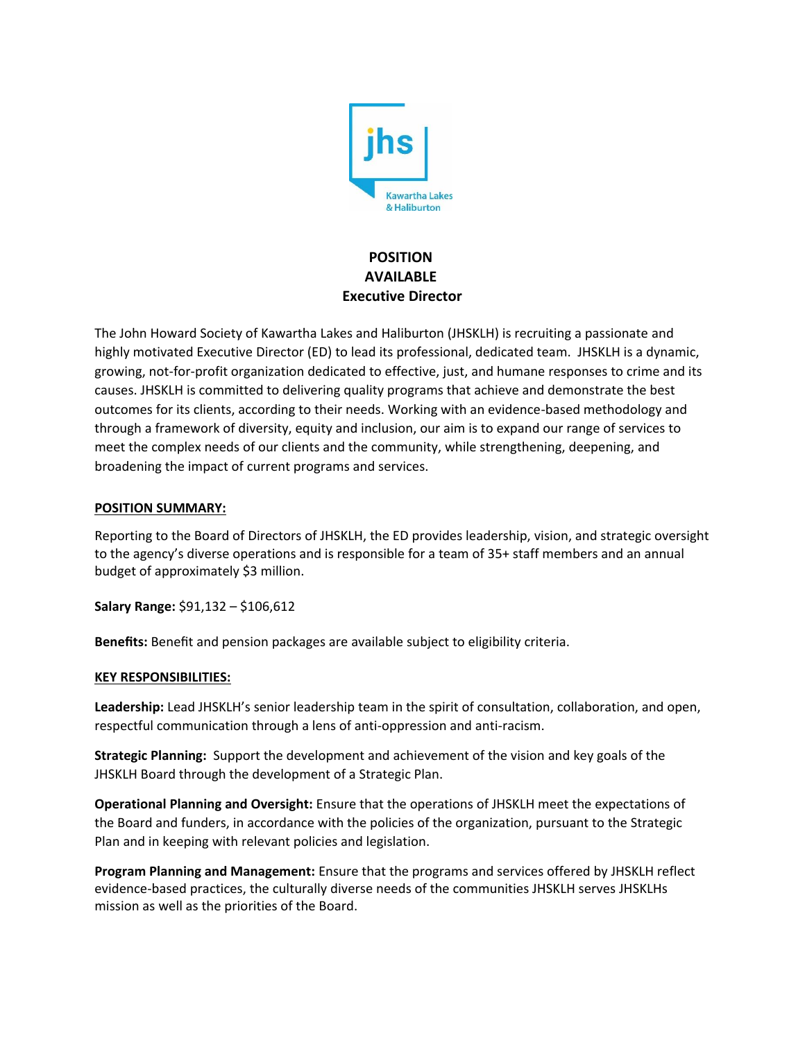

# **POSITION AVAILABLE Executive Director**

The John Howard Society of Kawartha Lakes and Haliburton (JHSKLH) is recruiting a passionate and highly motivated Executive Director (ED) to lead its professional, dedicated team. JHSKLH is a dynamic, growing, not-for-profit organization dedicated to effective, just, and humane responses to crime and its causes. JHSKLH is committed to delivering quality programs that achieve and demonstrate the best outcomes for its clients, according to their needs. Working with an evidence-based methodology and through a framework of diversity, equity and inclusion, our aim is to expand our range of services to meet the complex needs of our clients and the community, while strengthening, deepening, and broadening the impact of current programs and services.

## **POSITION SUMMARY:**

Reporting to the Board of Directors of JHSKLH, the ED provides leadership, vision, and strategic oversight to the agency's diverse operations and is responsible for a team of 35+ staff members and an annual budget of approximately \$3 million.

**Salary Range:** \$91,132 – \$106,612

**Benefits:** Benefit and pension packages are available subject to eligibility criteria.

#### **KEY RESPONSIBILITIES:**

**Leadership:** Lead JHSKLH's senior leadership team in the spirit of consultation, collaboration, and open, respectful communication through a lens of anti-oppression and anti-racism.

**Strategic Planning:** Support the development and achievement of the vision and key goals of the JHSKLH Board through the development of a Strategic Plan.

**Operational Planning and Oversight:** Ensure that the operations of JHSKLH meet the expectations of the Board and funders, in accordance with the policies of the organization, pursuant to the Strategic Plan and in keeping with relevant policies and legislation.

**Program Planning and Management:** Ensure that the programs and services offered by JHSKLH reflect evidence-based practices, the culturally diverse needs of the communities JHSKLH serves JHSKLHs mission as well as the priorities of the Board.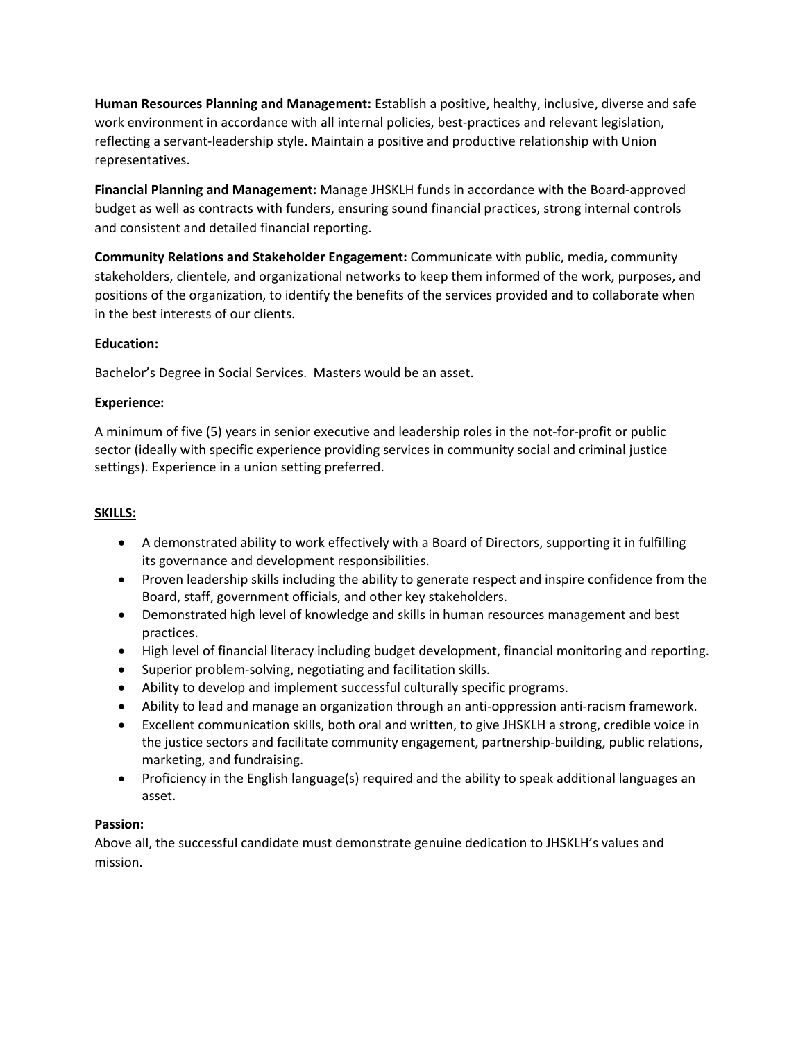**Human Resources Planning and Management:** Establish a positive, healthy, inclusive, diverse and safe work environment in accordance with all internal policies, best-practices and relevant legislation, reflecting a servant-leadership style. Maintain a positive and productive relationship with Union representatives.

**Financial Planning and Management:** Manage JHSKLH funds in accordance with the Board-approved budget as well as contracts with funders, ensuring sound financial practices, strong internal controls and consistent and detailed financial reporting.

**Community Relations and Stakeholder Engagement:** Communicate with public, media, community stakeholders, clientele, and organizational networks to keep them informed of the work, purposes, and positions of the organization, to identify the benefits of the services provided and to collaborate when in the best interests of our clients.

## **Education:**

Bachelor's Degree in Social Services. Masters would be an asset.

## **Experience:**

A minimum of five (5) years in senior executive and leadership roles in the not-for-profit or public sector (ideally with specific experience providing services in community social and criminal justice settings). Experience in a union setting preferred.

#### **SKILLS:**

- A demonstrated ability to work effectively with a Board of Directors, supporting it in fulfilling its governance and development responsibilities.
- Proven leadership skills including the ability to generate respect and inspire confidence from the Board, staff, government officials, and other key stakeholders.
- Demonstrated high level of knowledge and skills in human resources management and best practices.
- High level of financial literacy including budget development, financial monitoring and reporting.
- Superior problem-solving, negotiating and facilitation skills.
- Ability to develop and implement successful culturally specific programs.
- Ability to lead and manage an organization through an anti-oppression anti-racism framework.
- Excellent communication skills, both oral and written, to give JHSKLH a strong, credible voice in the justice sectors and facilitate community engagement, partnership-building, public relations, marketing, and fundraising.
- Proficiency in the English language(s) required and the ability to speak additional languages an asset.

#### **Passion:**

Above all, the successful candidate must demonstrate genuine dedication to JHSKLH's values and mission.